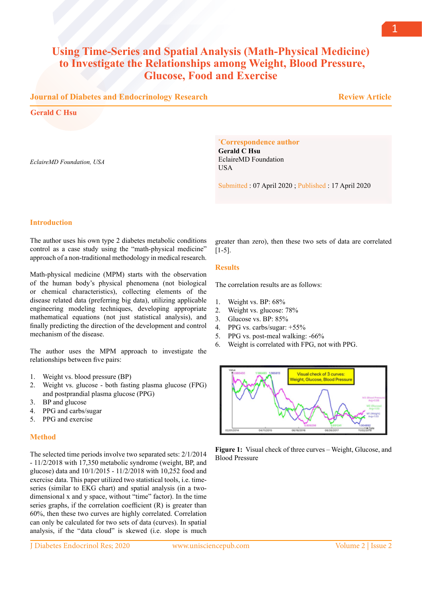# **Using Time-Series and Spatial Analysis (Math-Physical Medicine) to Investigate the Relationships among Weight, Blood Pressure, Glucose, Food and Exercise**

# **Journal of Diabetes and Endocrinology Research**

**Gerald C Hsu**

*EclaireMD Foundation, USA*

#### **\* Correspondence author**

**Gerald C Hsu** EclaireMD Foundation **USA** 

Submitted : 07 April 2020 ; Published : 17 April 2020

## **Introduction**

The author uses his own type 2 diabetes metabolic conditions control as a case study using the "math-physical medicine" approach of a non-traditional methodology in medical research.

Math-physical medicine (MPM) starts with the observation of the human body's physical phenomena (not biological or chemical characteristics), collecting elements of the disease related data (preferring big data), utilizing applicable engineering modeling techniques, developing appropriate mathematical equations (not just statistical analysis), and finally predicting the direction of the development and control mechanism of the disease.

The author uses the MPM approach to investigate the relationships between five pairs:

- 1. Weight vs. blood pressure (BP)
- 2. Weight vs. glucose both fasting plasma glucose (FPG) and postprandial plasma glucose (PPG)
- 3. BP and glucose
- 4. PPG and carbs/sugar
- 5. PPG and exercise

## **Method**

The selected time periods involve two separated sets: 2/1/2014 - 11/2/2018 with 17,350 metabolic syndrome (weight, BP, and glucose) data and 10/1/2015 - 11/2/2018 with 10,252 food and exercise data. This paper utilized two statistical tools, i.e. timeseries (similar to EKG chart) and spatial analysis (in a twodimensional x and y space, without "time" factor). In the time series graphs, if the correlation coefficient (R) is greater than 60%, then these two curves are highly correlated. Correlation can only be calculated for two sets of data (curves). In spatial analysis, if the "data cloud" is skewed (i.e. slope is much

J Diabetes Endocrinol Res; 2020 www.unisciencepub.com Volume 2 | Issue 2

greater than zero), then these two sets of data are correlated  $[1-5]$ .

## **Results**

The correlation results are as follows:

- 1. Weight vs. BP: 68%
- 2. Weight vs. glucose: 78%
- 3. Glucose vs. BP: 85%
- 4. PPG vs. carbs/sugar: +55%
- 5. PPG vs. post-meal walking: -66%
- 6. Weight is correlated with FPG, not with PPG.



**Figure 1:** Visual check of three curves – Weight, Glucose, and Blood Pressure

 **Review Article**